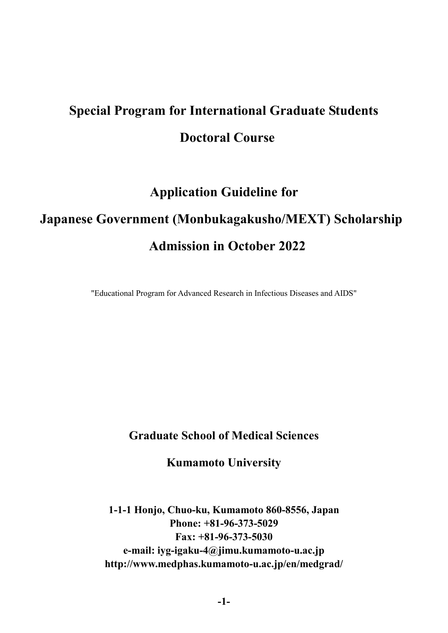# **Special Program for International Graduate Students Doctoral Course**

# **Application Guideline for Japanese Government (Monbukagakusho/MEXT) Scholarship Admission in October 2022**

"Educational Program for Advanced Research in Infectious Diseases and AIDS"

# **Graduate School of Medical Sciences**

**Kumamoto University**

**1-1-1 Honjo, Chuo-ku, Kumamoto 860-8556, Japan Phone: +81-96-373-5029 Fax: +81-96-373-5030 e-mail: iyg-igaku-4@jimu.kumamoto-u.ac.jp http://www.medphas.kumamoto-u.ac.jp/en/medgrad/**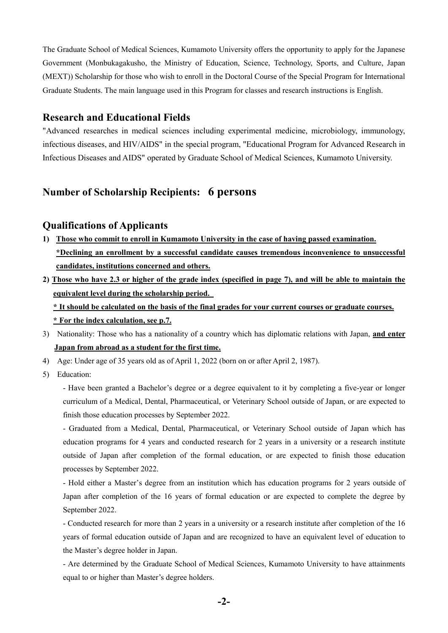The Graduate School of Medical Sciences, Kumamoto University offers the opportunity to apply for the Japanese Government (Monbukagakusho, the Ministry of Education, Science, Technology, Sports, and Culture, Japan (MEXT)) Scholarship for those who wish to enroll in the Doctoral Course of the Special Program for International Graduate Students. The main language used in this Program for classes and research instructions is English.

#### **Research and Educational Fields**

"Advanced researches in medical sciences including experimental medicine, microbiology, immunology, infectious diseases, and HIV/AIDS" in the special program, "Educational Program for Advanced Research in Infectious Diseases and AIDS" operated by Graduate School of Medical Sciences, Kumamoto University.

# **Number of Scholarship Recipients: 6 persons**

#### **Qualifications of Applicants**

- **1) Those who commit to enroll in Kumamoto University in the case of having passed examination. \*Declining an enrollment by a successful candidate causes tremendous inconvenience to unsuccessful candidates, institutions concerned and others.**
- 2) Those who have 2.3 or higher of the grade index (specified in page 7), and will be able to maintain the **equivalent level during the scholarship period.**

\* It should be calculated on the basis of the final grades for your current courses or graduate courses.

**\* For the index calculation, see p.7.**

- 3) Nationality: Those who has a nationality of a country which has diplomatic relations with Japan, **and enter Japan from abroad as a student for the first time.**
- 4) Age: Under age of 35 years old as of April 1, 2022 (born on or after April 2, 1987).
- 5) Education:

- Have been granted a Bachelor's degree or a degree equivalent to it by completing a five-year or longer curriculum of a Medical, Dental, Pharmaceutical, or Veterinary School outside of Japan, or are expected to finish those education processes by September 2022.

- Graduated from a Medical, Dental, Pharmaceutical, or Veterinary School outside of Japan which has education programs for 4 years and conducted research for 2 years in a university or a research institute outside of Japan after completion of the formal education, or are expected to finish those education processes by September 2022.

- Hold either a Master's degree from an institution which has education programs for 2 years outside of Japan after completion of the 16 years of formal education or are expected to complete the degree by September 2022.

- Conducted research for more than 2 years in a university or a research institute after completion of the 16 years of formal education outside of Japan and are recognized to have an equivalent level of education to the Master's degree holder in Japan.

- Are determined by the Graduate School of Medical Sciences, Kumamoto University to have attainments equal to or higher than Master's degree holders.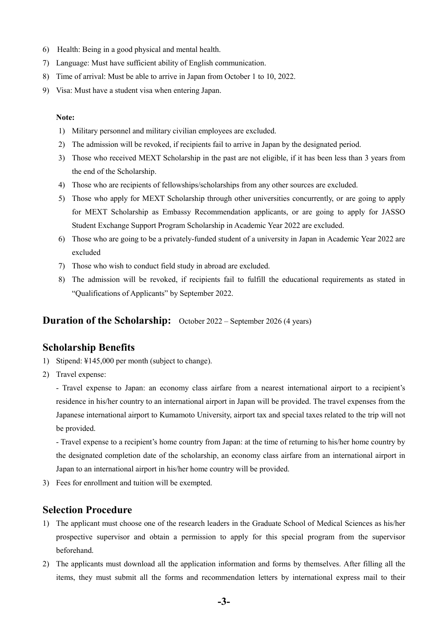- 6) Health: Being in a good physical and mental health.
- 7) Language: Must have sufficient ability of English communication.
- 8) Time of arrival: Must be able to arrive in Japan from October 1 to 10, 2022.
- 9) Visa: Must have a student visa when entering Japan.

#### **Note:**

- 1) Military personnel and military civilian employees are excluded.
- 2) The admission will be revoked, if recipients fail to arrive in Japan by the designated period.
- 3) Those who received MEXT Scholarship in the past are not eligible, if it has been less than 3 years from the end of the Scholarship.
- 4) Those who are recipients of fellowships/scholarships from any other sources are excluded.
- 5) Those who apply for MEXT Scholarship through other universities concurrently, or are going to apply for MEXT Scholarship as Embassy Recommendation applicants, or are going to apply for JASSO Student Exchange Support Program Scholarship in Academic Year 2022 are excluded.
- 6) Those who are going to be a privately-funded student of a university in Japan in Academic Year 2022 are excluded
- 7) Those who wish to conduct field study in abroad are excluded.
- 8) The admission will be revoked, if recipients fail to fulfill the educational requirements as stated in "Qualifications of Applicants" by September 2022.

#### **Duration of the Scholarship:** October 2022 – September 2026 (4 years)

#### **Scholarship Benefits**

- 1) Stipend: ¥145,000 per month (subject to change).
- 2) Travel expense:

- Travel expense to Japan: an economy class airfare from a nearest international airport to a recipient's residence in his/her country to an international airport in Japan will be provided. The travel expenses from the Japanese international airport to Kumamoto University, airport tax and special taxes related to the trip will not be provided.

- Travel expense to a recipient's home country from Japan: at the time of returning to his/her home country by the designated completion date of the scholarship, an economy class airfare from an international airport in Japan to an international airport in his/her home country will be provided.

3) Fees for enrollment and tuition will be exempted.

## **Selection Procedure**

- 1) The applicant must choose one of the research leaders in the Graduate School of Medical Sciences as his/her prospective supervisor and obtain a permission to apply for this special program from the supervisor beforehand.
- 2) The applicants must download all the application information and forms by themselves. After filling all the items, they must submit all the forms and recommendation letters by international express mail to their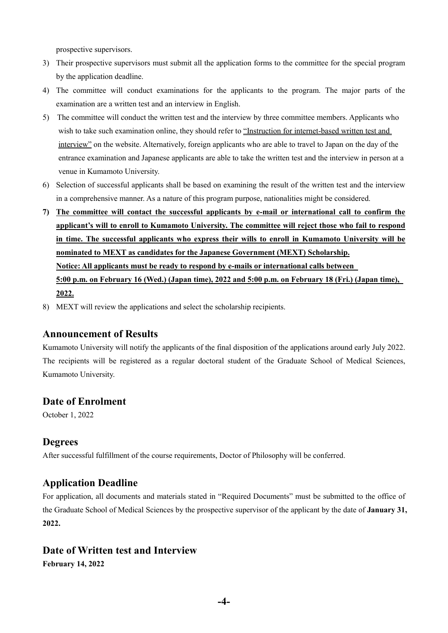prospective supervisors.

- 3) Their prospective supervisors must submit all the application forms to the committee for the special program by the application deadline.
- 4) The committee will conduct examinations for the applicants to the program. The major parts of the examination are a written test and an interview in English.
- 5) The committee will conduct the written test and the interview by three committee members. Applicants who wish to take such examination online, they should refer to "Instruction for internet-based written test and interview" on the website. Alternatively, foreign applicants who are able to travel to Japan on the day of the entrance examination and Japanese applicants are able to take the written test and the interview in person at a venue in Kumamoto University.
- 6) Selection of successful applicants shall be based on examining the result of the written test and the interview in a comprehensive manner. As a nature of this program purpose, nationalities might be considered.
- **7) The committee will contact the successful applicants by e-mail or international call to confirm the applicant's will to enroll to Kumamoto University. The committee will reject those who fail to respond in time. The successful applicants who express their wills to enroll in Kumamoto University will be nominated to MEXT as candidates for the Japanese Government (MEXT) Scholarship. Notice: All applicants must be ready to respond by e-mails or international calls between** 5:00 p.m. on February 16 (Wed.) (Japan time), 2022 and 5:00 p.m. on February 18 (Fri.) (Japan time), **2022.**
- 8) MEXT will review the applications and select the scholarship recipients.

#### **Announcement of Results**

Kumamoto University will notify the applicants of the final disposition of the applications around early July 2022. The recipients will be registered as a regular doctoral student of the Graduate School of Medical Sciences, Kumamoto University.

## **Date of Enrolment**

October 1, 2022

#### **Degrees**

After successful fulfillment of the course requirements, Doctor of Philosophy will be conferred.

## **Application Deadline**

For application, all documents and materials stated in "Required Documents" must be submitted to the office of the Graduate School of Medical Sciences by the prospective supervisor of the applicant by the date of **January 31, 2022.**

# **Date of Written test and Interview**

**February 14, 2022**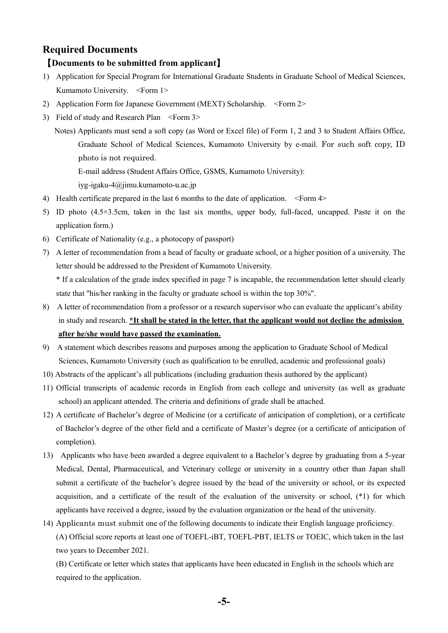# **Required Documents**

#### 【**Documents to be submitted from applicant**】

- 1) Application for Special Program for International Graduate Students in Graduate School of Medical Sciences, Kumamoto University. <Form 1>
- 2) Application Form for Japanese Government (MEXT) Scholarship. <Form 2>
- 3) Field of study and Research Plan <Form 3>
	- Notes) Applicants must send a soft copy (as Word or Excel file) of Form 1, 2 and 3 to Student Affairs Office, Graduate School of Medical Sciences, Kumamoto University by e-mail. For such soft copy, ID photo is not required.
		- E-mail address (Student Affairs Office, GSMS, Kumamoto University):

iyg-igaku-4@jimu.kumamoto-u.ac.jp

- 4) Health certificate prepared in the last 6 months to the date of application. <Form 4>
- 5) ID photo (4.5×3.5cm, taken in the last six months, upper body, full-faced, uncapped. Paste it on the application form.)
- 6) Certificate of Nationality (e.g., a photocopy of passport)
- 7) A letter of recommendation from a head of faculty or graduate school, or a higher position of a university. The letter should be addressed to the President of Kumamoto University.

\* If a calculation of the grade index specified in page 7 is incapable, the recommendation letter should clearly state that "his/her ranking in the faculty or graduate school is within the top 30%".

- 8) A letter of recommendation from a professor or a research supervisor who can evaluate the applicant's ability in study and research. **\*It shall be stated in the letter, that the applicant would not decline the admission after he/she would have passed the examination.**
- 9) A statement which describes reasons and purposes among the application to Graduate School of Medical Sciences, Kumamoto University (such as qualification to be enrolled, academic and professional goals)
- 10) Abstracts of the applicant's all publications (including graduation thesis authored by the applicant)
- 11) Official transcripts of academic records in English from each college and university (as well as graduate school) an applicant attended. The criteria and definitions of grade shall be attached.
- 12) A certificate of Bachelor's degree of Medicine (or a certificate of anticipation of completion), or a certificate of Bachelor's degree of the other field and a certificate of Master's degree (or a certificate of anticipation of completion).
- 13) Applicants who have been awarded a degree equivalent to a Bachelor's degree by graduating from a 5-year Medical, Dental, Pharmaceutical, and Veterinary college or university in a country other than Japan shall submit a certificate of the bachelor's degree issued by the head of the university or school, or its expected acquisition, and a certificate of the result of the evaluation of the university or school, (\*1) for which applicants have received a degree, issued by the evaluation organization or the head of the university.
- 14) Applicants must submit one of the following documents to indicate their English language proficiency. (A) Official score reports at least one of TOEFL-iBT, TOEFL-PBT, IELTS or TOEIC, which taken in the last two years to December 2021.

(B) Certificate or letter which states that applicants have been educated in English in the schools which are required to the application.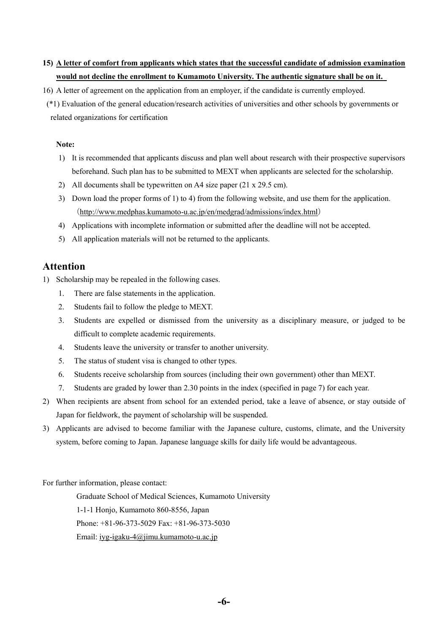# **15) A letter of comfort from applicants which states that the successful candidate of admission examination would not decline the enrollment to Kumamoto University. The authentic signature shall be on it.**

16) A letter of agreement on the application from an employer, if the candidate is currently employed.

(\*1) Evaluation of the general education/research activities of universities and other schools by governments or related organizations for certification

#### **Note:**

- 1) It is recommended that applicants discuss and plan well about research with their prospective supervisors beforehand. Such plan has to be submitted to MEXT when applicants are selected for the scholarship.
- 2) All documents shall be typewritten on A4 size paper (21 x 29.5 cm).
- 3) Down load the proper forms of 1) to 4) from the following website, and use them for the application. (http://www.medphas.kumamoto-u.ac.jp/en/medgrad/admissions/index.html)
- 4) Applications with incomplete information or submitted after the deadline will not be accepted.
- 5) All application materials will not be returned to the applicants.

# **Attention**

- 1) Scholarship may be repealed in the following cases.
	- 1. There are false statements in the application.
	- 2. Students fail to follow the pledge to MEXT.
	- 3. Students are expelled or dismissed from the university as a disciplinary measure, or judged to be difficult to complete academic requirements.
	- 4. Students leave the university or transfer to another university.
	- 5. The status of student visa is changed to other types.
	- 6. Students receive scholarship from sources (including their own government) other than MEXT.
	- 7. Students are graded by lower than 2.30 points in the index (specified in page 7) for each year.
- 2) When recipients are absent from school for an extended period, take a leave of absence, or stay outside of Japan for fieldwork, the payment of scholarship will be suspended.
- 3) Applicants are advised to become familiar with the Japanese culture, customs, climate, and the University system, before coming to Japan. Japanese language skills for daily life would be advantageous.

For further information, please contact:

Graduate School of Medical Sciences, Kumamoto University 1-1-1 Honjo, Kumamoto 860-8556, Japan Phone: +81-96-373-5029 Fax: +81-96-373-5030 Email: iyg-igaku-4@jimu.kumamoto-u.ac.jp